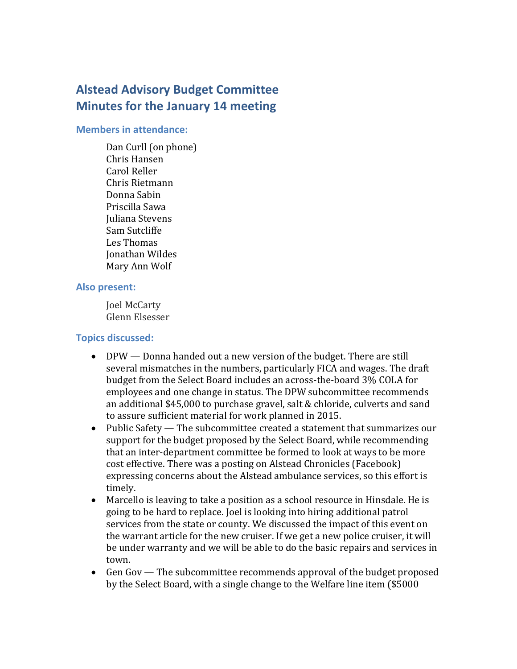# **Alstead Advisory Budget Committee Minutes for the January 14 meeting**

#### **Members in attendance:**

Dan Curll (on phone) Chris Hansen Carol Reller Chris Rietmann Donna Sabin Priscilla Sawa Juliana Stevens Sam Sutcliffe Les Thomas Jonathan Wildes Mary Ann Wolf

### **Also present:**

Joel McCarty Glenn Elsesser

## **Topics discussed:**

- DPW Donna handed out a new version of the budget. There are still several mismatches in the numbers, particularly FICA and wages. The draft budget from the Select Board includes an across-the-board 3% COLA for employees and one change in status. The DPW subcommittee recommends an additional \$45,000 to purchase gravel, salt & chloride, culverts and sand to assure sufficient material for work planned in 2015.
- Public Safety The subcommittee created a statement that summarizes our support for the budget proposed by the Select Board, while recommending that an inter-department committee be formed to look at ways to be more cost effective. There was a posting on Alstead Chronicles (Facebook) expressing concerns about the Alstead ambulance services, so this effort is timely.
- Marcello is leaving to take a position as a school resource in Hinsdale. He is going to be hard to replace. Joel is looking into hiring additional patrol services from the state or county. We discussed the impact of this event on the warrant article for the new cruiser. If we get a new police cruiser, it will be under warranty and we will be able to do the basic repairs and services in town.
- Gen Gov The subcommittee recommends approval of the budget proposed by the Select Board, with a single change to the Welfare line item (\$5000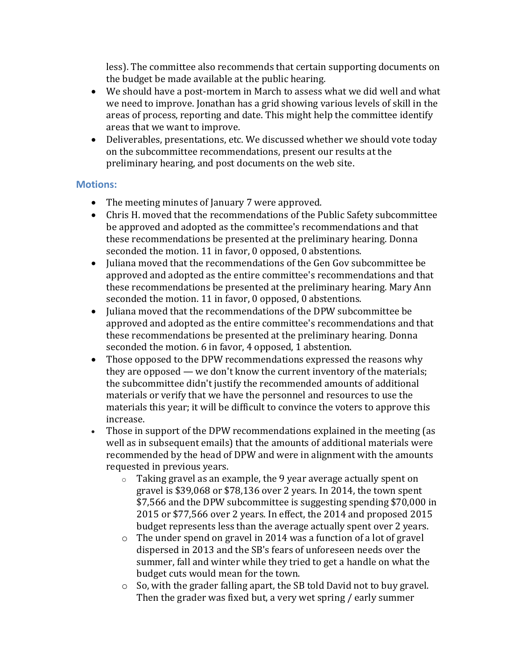less). The committee also recommends that certain supporting documents on the budget be made available at the public hearing.

- We should have a post-mortem in March to assess what we did well and what we need to improve. Jonathan has a grid showing various levels of skill in the areas of process, reporting and date. This might help the committee identify areas that we want to improve.
- Deliverables, presentations, etc. We discussed whether we should vote today on the subcommittee recommendations, present our results at the preliminary hearing, and post documents on the web site.

## **Motions:**

- The meeting minutes of January 7 were approved.
- Chris H. moved that the recommendations of the Public Safety subcommittee be approved and adopted as the committee's recommendations and that these recommendations be presented at the preliminary hearing. Donna seconded the motion. 11 in favor, 0 opposed, 0 abstentions.
- Juliana moved that the recommendations of the Gen Gov subcommittee be approved and adopted as the entire committee's recommendations and that these recommendations be presented at the preliminary hearing. Mary Ann seconded the motion. 11 in favor, 0 opposed, 0 abstentions.
- Juliana moved that the recommendations of the DPW subcommittee be approved and adopted as the entire committee's recommendations and that these recommendations be presented at the preliminary hearing. Donna seconded the motion. 6 in favor, 4 opposed, 1 abstention.
- Those opposed to the DPW recommendations expressed the reasons why they are opposed — we don't know the current inventory of the materials; the subcommittee didn't justify the recommended amounts of additional materials or verify that we have the personnel and resources to use the materials this year; it will be difficult to convince the voters to approve this increase.
- Those in support of the DPW recommendations explained in the meeting (as well as in subsequent emails) that the amounts of additional materials were recommended by the head of DPW and were in alignment with the amounts requested in previous years.
	- o Taking gravel as an example, the 9 year average actually spent on gravel is \$39,068 or \$78,136 over 2 years. In 2014, the town spent \$7,566 and the DPW subcommittee is suggesting spending \$70,000 in 2015 or \$77,566 over 2 years. In effect, the 2014 and proposed 2015 budget represents less than the average actually spent over 2 years.
	- o The under spend on gravel in 2014 was a function of a lot of gravel dispersed in 2013 and the SB's fears of unforeseen needs over the summer, fall and winter while they tried to get a handle on what the budget cuts would mean for the town.
	- o So, with the grader falling apart, the SB told David not to buy gravel. Then the grader was fixed but, a very wet spring / early summer